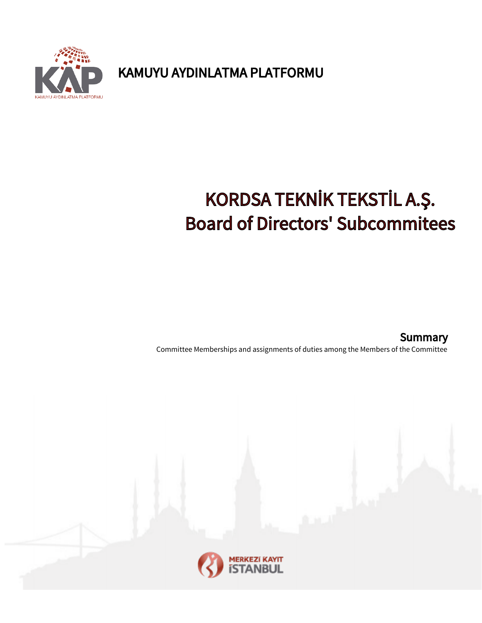KAMUYU AYDINLATMA PLATFORMU



# KORDSA TEKNİK TEKSTİL A.Ş. Board of Directors' Subcommitees

Committee Memberships and assignments of duties among the Members of the Committee **Summary** 

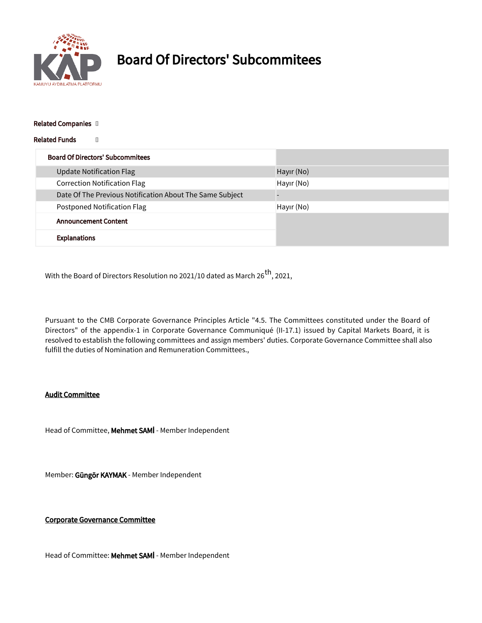

## Board Of Directors' Subcommitees

#### Related Companies []

#### Related Funds []

| <b>Board Of Directors' Subcommitees</b>                  |            |
|----------------------------------------------------------|------------|
| <b>Update Notification Flag</b>                          | Hayir (No) |
| <b>Correction Notification Flag</b>                      | Hayır (No) |
| Date Of The Previous Notification About The Same Subject |            |
| <b>Postponed Notification Flag</b>                       | Hayır (No) |
| <b>Announcement Content</b>                              |            |
| <b>Explanations</b>                                      |            |

With the Board of Directors Resolution no 2021/10 dated as March 26<sup>th</sup>, 2021,

Pursuant to the CMB Corporate Governance Principles Article "4.5. The Committees constituted under the Board of Directors" of the appendix-1 in Corporate Governance Communiqué (II-17.1) issued by Capital Markets Board, it is resolved to establish the following committees and assign members' duties. Corporate Governance Committee shall also fulfill the duties of Nomination and Remuneration Committees.,

### Audit Committee

Head of Committee, Mehmet SAMİ - Member Independent

Member: Güngör KAYMAK - Member Independent

#### Corporate Governance Committee

Head of Committee: Mehmet SAMİ - Member Independent